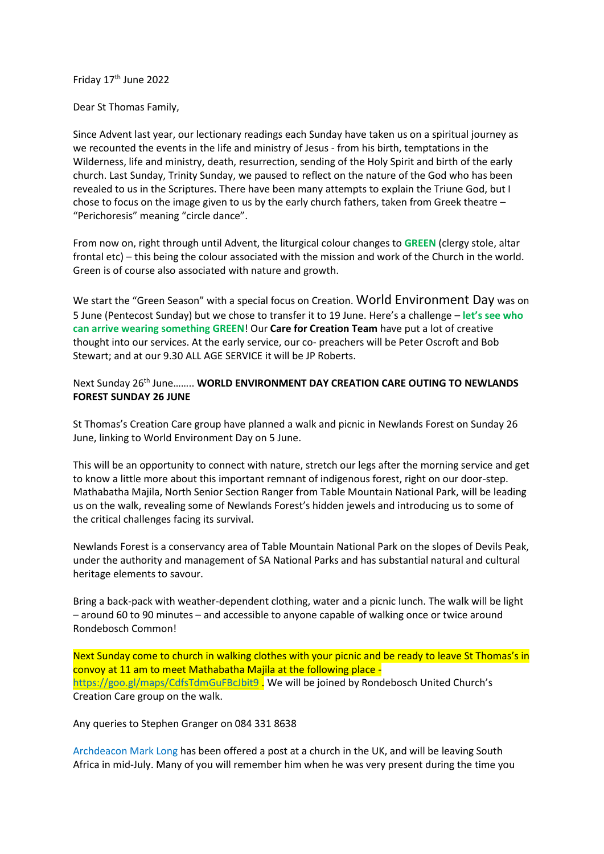Friday 17<sup>th</sup> June 2022

Dear St Thomas Family,

Since Advent last year, our lectionary readings each Sunday have taken us on a spiritual journey as we recounted the events in the life and ministry of Jesus - from his birth, temptations in the Wilderness, life and ministry, death, resurrection, sending of the Holy Spirit and birth of the early church. Last Sunday, Trinity Sunday, we paused to reflect on the nature of the God who has been revealed to us in the Scriptures. There have been many attempts to explain the Triune God, but I chose to focus on the image given to us by the early church fathers, taken from Greek theatre – "Perichoresis" meaning "circle dance".

From now on, right through until Advent, the liturgical colour changes to **GREEN** (clergy stole, altar frontal etc) – this being the colour associated with the mission and work of the Church in the world. Green is of course also associated with nature and growth.

We start the "Green Season" with a special focus on Creation. World Environment Day was on 5 June (Pentecost Sunday) but we chose to transfer it to 19 June. Here's a challenge – **let's see who can arrive wearing something GREEN**! Our **Care for Creation Team** have put a lot of creative thought into our services. At the early service, our co- preachers will be Peter Oscroft and Bob Stewart; and at our 9.30 ALL AGE SERVICE it will be JP Roberts.

# Next Sunday 26th June…….. **WORLD ENVIRONMENT DAY CREATION CARE OUTING TO NEWLANDS FOREST SUNDAY 26 JUNE**

St Thomas's Creation Care group have planned a walk and picnic in Newlands Forest on Sunday 26 June, linking to World Environment Day on 5 June.

This will be an opportunity to connect with nature, stretch our legs after the morning service and get to know a little more about this important remnant of indigenous forest, right on our door-step. Mathabatha Majila, North Senior Section Ranger from Table Mountain National Park, will be leading us on the walk, revealing some of Newlands Forest's hidden jewels and introducing us to some of the critical challenges facing its survival.

Newlands Forest is a conservancy area of Table Mountain National Park on the slopes of Devils Peak, under the authority and management of SA National Parks and has substantial natural and cultural heritage elements to savour.

Bring a back-pack with weather-dependent clothing, water and a picnic lunch. The walk will be light – around 60 to 90 minutes – and accessible to anyone capable of walking once or twice around Rondebosch Common!

Next Sunday come to church in walking clothes with your picnic and be ready to leave St Thomas's in convoy at 11 am to meet Mathabatha Majila at the following place <https://goo.gl/maps/CdfsTdmGuFBcJbit9> . We will be joined by Rondebosch United Church's Creation Care group on the walk.

Any queries to Stephen Granger on 084 331 8638

Archdeacon Mark Long has been offered a post at a church in the UK, and will be leaving South Africa in mid-July. Many of you will remember him when he was very present during the time you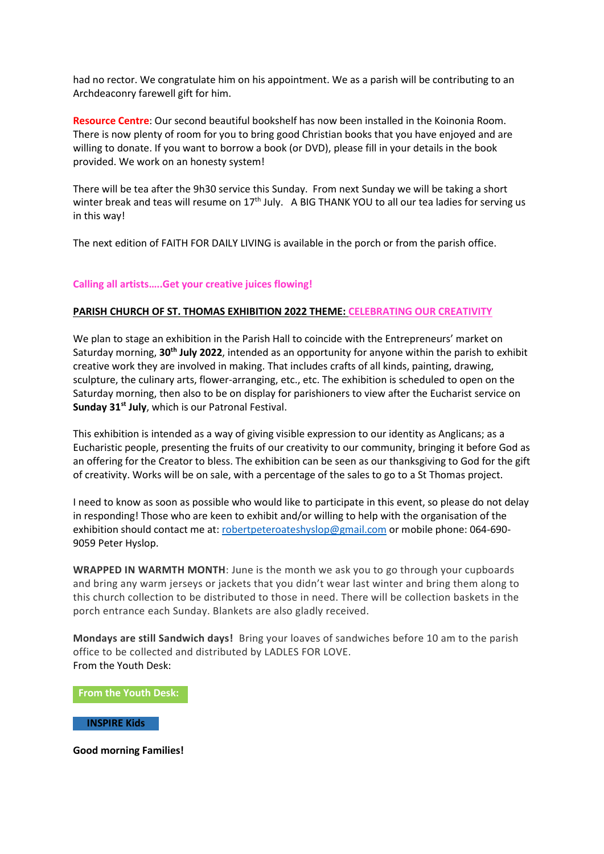had no rector. We congratulate him on his appointment. We as a parish will be contributing to an Archdeaconry farewell gift for him.

**Resource Centre**: Our second beautiful bookshelf has now been installed in the Koinonia Room. There is now plenty of room for you to bring good Christian books that you have enjoyed and are willing to donate. If you want to borrow a book (or DVD), please fill in your details in the book provided. We work on an honesty system!

There will be tea after the 9h30 service this Sunday. From next Sunday we will be taking a short winter break and teas will resume on  $17<sup>th</sup>$  July. A BIG THANK YOU to all our tea ladies for serving us in this way!

The next edition of FAITH FOR DAILY LIVING is available in the porch or from the parish office.

## **Calling all artists…..Get your creative juices flowing!**

## **PARISH CHURCH OF ST. THOMAS EXHIBITION 2022 THEME: CELEBRATING OUR CREATIVITY**

We plan to stage an exhibition in the Parish Hall to coincide with the Entrepreneurs' market on Saturday morning, **30th July 2022**, intended as an opportunity for anyone within the parish to exhibit creative work they are involved in making. That includes crafts of all kinds, painting, drawing, sculpture, the culinary arts, flower-arranging, etc., etc. The exhibition is scheduled to open on the Saturday morning, then also to be on display for parishioners to view after the Eucharist service on **Sunday 31st July**, which is our Patronal Festival.

This exhibition is intended as a way of giving visible expression to our identity as Anglicans; as a Eucharistic people, presenting the fruits of our creativity to our community, bringing it before God as an offering for the Creator to bless. The exhibition can be seen as our thanksgiving to God for the gift of creativity. Works will be on sale, with a percentage of the sales to go to a St Thomas project.

I need to know as soon as possible who would like to participate in this event, so please do not delay in responding! Those who are keen to exhibit and/or willing to help with the organisation of the exhibition should contact me at[: robertpeteroateshyslop@gmail.com](mailto:robertpeteroateshyslop@gmail.com) or mobile phone: 064-690- 9059 Peter Hyslop.

**WRAPPED IN WARMTH MONTH**: June is the month we ask you to go through your cupboards and bring any warm jerseys or jackets that you didn't wear last winter and bring them along to this church collection to be distributed to those in need. There will be collection baskets in the porch entrance each Sunday. Blankets are also gladly received.

**Mondays are still Sandwich days!** Bring your loaves of sandwiches before 10 am to the parish office to be collected and distributed by LADLES FOR LOVE. From the Youth Desk:

**From the Youth Desk:**

### **INSPIRE Kids**

**Good morning Families!**